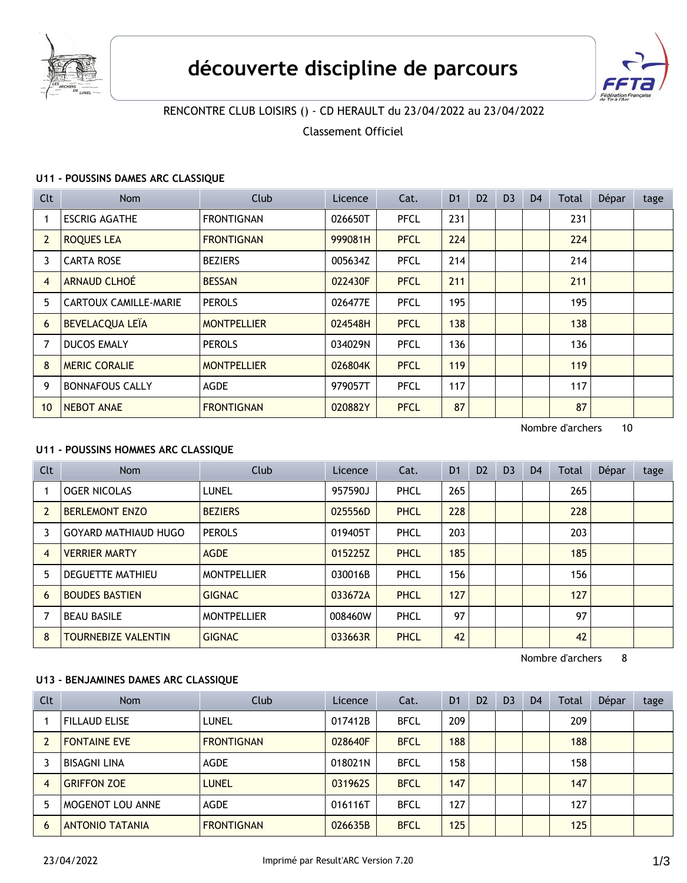



# RENCONTRE CLUB LOISIRS () - CD HERAULT du 23/04/2022 au 23/04/2022

Classement Officiel

### **U11 - POUSSINS DAMES ARC CLASSIQUE**

| <b>Clt</b>     | Nom                          | Club               | Licence | Cat.        | D <sub>1</sub> | D <sub>2</sub> | D <sub>3</sub> | D <sub>4</sub> | Total | Dépar | tage |
|----------------|------------------------------|--------------------|---------|-------------|----------------|----------------|----------------|----------------|-------|-------|------|
|                | <b>ESCRIG AGATHE</b>         | <b>FRONTIGNAN</b>  | 026650T | <b>PFCL</b> | 231            |                |                |                | 231   |       |      |
| $\overline{2}$ | <b>ROQUES LEA</b>            | <b>FRONTIGNAN</b>  | 999081H | <b>PFCL</b> | 224            |                |                |                | 224   |       |      |
| 3              | <b>CARTA ROSE</b>            | <b>BEZIERS</b>     | 005634Z | <b>PFCL</b> | 214            |                |                |                | 214   |       |      |
| $\overline{4}$ | <b>ARNAUD CLHOÉ</b>          | <b>BESSAN</b>      | 022430F | <b>PFCL</b> | 211            |                |                |                | 211   |       |      |
| 5              | <b>CARTOUX CAMILLE-MARIE</b> | <b>PEROLS</b>      | 026477E | <b>PFCL</b> | 195            |                |                |                | 195   |       |      |
| 6              | <b>BEVELACQUA LEÏA</b>       | <b>MONTPELLIER</b> | 024548H | <b>PFCL</b> | 138            |                |                |                | 138   |       |      |
|                | <b>DUCOS EMALY</b>           | <b>PEROLS</b>      | 034029N | <b>PFCL</b> | 136            |                |                |                | 136   |       |      |
| 8              | <b>MERIC CORALIE</b>         | <b>MONTPELLIER</b> | 026804K | <b>PFCL</b> | 119            |                |                |                | 119   |       |      |
| 9              | <b>BONNAFOUS CALLY</b>       | <b>AGDE</b>        | 979057T | <b>PFCL</b> | 117            |                |                |                | 117   |       |      |
| 10             | <b>NEBOT ANAE</b>            | <b>FRONTIGNAN</b>  | 020882Y | <b>PFCL</b> | 87             |                |                |                | 87    |       |      |

Nombre d'archers 10

# **U11 - POUSSINS HOMMES ARC CLASSIQUE**

| <b>Clt</b> | <b>Nom</b>                  | Club               | Licence | Cat.        | D <sub>1</sub> | D <sub>2</sub> | D <sub>3</sub> | D <sub>4</sub> | <b>Total</b> | Dépar | tage |
|------------|-----------------------------|--------------------|---------|-------------|----------------|----------------|----------------|----------------|--------------|-------|------|
|            | <b>OGER NICOLAS</b>         | LUNEL              | 957590J | PHCL        | 265            |                |                |                | 265          |       |      |
| 2          | <b>BERLEMONT ENZO</b>       | <b>BEZIERS</b>     | 025556D | <b>PHCL</b> | 228            |                |                |                | 228          |       |      |
| 3          | <b>GOYARD MATHIAUD HUGO</b> | <b>PEROLS</b>      | 019405T | PHCL        | 203            |                |                |                | 203          |       |      |
| 4          | <b>VERRIER MARTY</b>        | <b>AGDE</b>        | 015225Z | <b>PHCL</b> | 185            |                |                |                | 185          |       |      |
| 5          | <b>DEGUETTE MATHIEU</b>     | <b>MONTPELLIER</b> | 030016B | PHCL        | 156            |                |                |                | 156          |       |      |
| 6          | <b>BOUDES BASTIEN</b>       | <b>GIGNAC</b>      | 033672A | <b>PHCL</b> | 127            |                |                |                | 127          |       |      |
|            | <b>BEAU BASILE</b>          | <b>MONTPELLIER</b> | 008460W | PHCL        | 97             |                |                |                | 97           |       |      |
| 8          | <b>TOURNEBIZE VALENTIN</b>  | <b>GIGNAC</b>      | 033663R | <b>PHCL</b> | 42             |                |                |                | 42           |       |      |

Nombre d'archers 8

## **U13 - BENJAMINES DAMES ARC CLASSIQUE**

| <b>Clt</b> | <b>Nom</b>             | Club              | Licence | Cat.        | D <sub>1</sub> | D <sub>2</sub> | D <sub>3</sub> | D <sub>4</sub> | Total | Dépar | tage |
|------------|------------------------|-------------------|---------|-------------|----------------|----------------|----------------|----------------|-------|-------|------|
|            | <b>FILLAUD ELISE</b>   | LUNEL             | 017412B | <b>BFCL</b> | 209            |                |                |                | 209   |       |      |
|            | <b>FONTAINE EVE</b>    | <b>FRONTIGNAN</b> | 028640F | <b>BFCL</b> | 188            |                |                |                | 188   |       |      |
|            | <b>BISAGNI LINA</b>    | <b>AGDE</b>       | 018021N | <b>BFCL</b> | 158            |                |                |                | 158   |       |      |
| 4          | <b>GRIFFON ZOE</b>     | <b>LUNEL</b>      | 0319625 | <b>BFCL</b> | 147            |                |                |                | 147   |       |      |
|            | MOGENOT LOU ANNE       | <b>AGDE</b>       | 016116T | <b>BFCL</b> | 127            |                |                |                | 127   |       |      |
| 6          | <b>ANTONIO TATANIA</b> | <b>FRONTIGNAN</b> | 026635B | <b>BFCL</b> | 125            |                |                |                | 125   |       |      |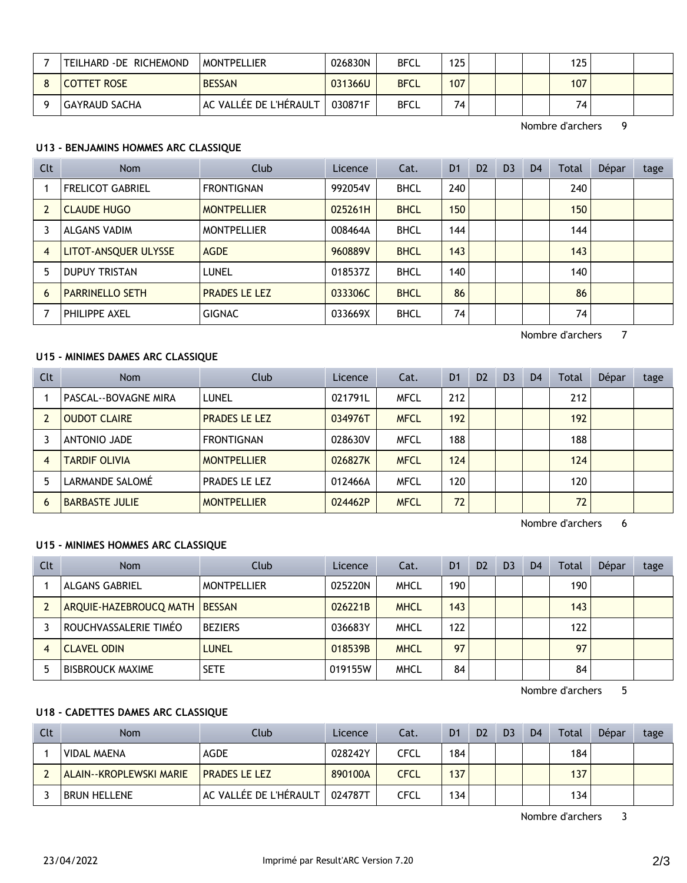| TEILHARD - DE RICHEMOND | <b>MONTPELLIER</b>     | 026830N | <b>BFCL</b> | 125 |  | 125 |  |
|-------------------------|------------------------|---------|-------------|-----|--|-----|--|
| <b>COTTET ROSE</b>      | <b>BESSAN</b>          | 031366U | <b>BFCL</b> | 107 |  | 107 |  |
| GAYRAUD SACHA           | AC VALLÉE DE L'HÉRAULT | 030871F | <b>BFCL</b> | 74. |  | 74  |  |

Nombre d'archers 9

#### **U13 - BENJAMINS HOMMES ARC CLASSIQUE**

| <b>Clt</b>     | <b>Nom</b>              | Club                 | Licence | Cat.        | D <sub>1</sub> | D <sub>2</sub> | D <sub>3</sub> | D <sub>4</sub> | Total | Dépar | tage |
|----------------|-------------------------|----------------------|---------|-------------|----------------|----------------|----------------|----------------|-------|-------|------|
|                | <b>FRELICOT GABRIEL</b> | <b>FRONTIGNAN</b>    | 992054V | <b>BHCL</b> | 240            |                |                |                | 240   |       |      |
|                | <b>CLAUDE HUGO</b>      | <b>MONTPELLIER</b>   | 025261H | <b>BHCL</b> | 150            |                |                |                | 150   |       |      |
|                | ALGANS VADIM            | <b>MONTPELLIER</b>   | 008464A | <b>BHCL</b> | 144            |                |                |                | 144   |       |      |
| $\overline{4}$ | LITOT-ANSQUER ULYSSE    | <b>AGDE</b>          | 960889V | <b>BHCL</b> | 143            |                |                |                | 143   |       |      |
| 5              | <b>DUPUY TRISTAN</b>    | <b>LUNEL</b>         | 018537Z | <b>BHCL</b> | 140            |                |                |                | 140   |       |      |
| 6              | <b>PARRINELLO SETH</b>  | <b>PRADES LE LEZ</b> | 033306C | <b>BHCL</b> | 86             |                |                |                | 86    |       |      |
|                | PHILIPPE AXEL           | <b>GIGNAC</b>        | 033669X | <b>BHCL</b> | 74             |                |                |                | 74    |       |      |

**U15 - MINIMES DAMES ARC CLASSIQUE**

Clt Nom Club Licence Cat. D1 D2 D3 D4 Total Dépar tage 1 PASCAL--BOVAGNE MIRA LUNEL 1 021791L MFCL 212 | | | 212 2 OUDOT CLAIRE PRADES LE LEZ 1934976T MFCL 192 192 192 3 ANTONIO JADE FRONTIGNAN 028630V MFCL 188 188 4 TARDIF OLIVIA MONTPELLIER 1026827K MFCL 124 124 124 5 LARMANDE SALOMÉ PRADES LE LEZ 012466A MFCL 120 120 6 BARBASTE JULIE MONTPELLIER 024462P MFCL 72 72

Nombre d'archers 6

Nombre d'archers 7

### **U15 - MINIMES HOMMES ARC CLASSIQUE**

| <b>Clt</b> | <b>Nom</b>              | Club               | Licence | Cat.        | D <sub>1</sub> | D <sub>2</sub> | D <sub>3</sub> | D <sub>4</sub> | Total | Dépar | tage |
|------------|-------------------------|--------------------|---------|-------------|----------------|----------------|----------------|----------------|-------|-------|------|
|            | <b>ALGANS GABRIEL</b>   | <b>MONTPELLIER</b> | 025220N | <b>MHCL</b> | 190            |                |                |                | 190   |       |      |
|            | ARQUIE-HAZEBROUCQ MATH  | <b>BESSAN</b>      | 026221B | <b>MHCL</b> | 143            |                |                |                | 143   |       |      |
|            | ROUCHVASSALERIE TIMÉO   | <b>BEZIERS</b>     | 036683Y | <b>MHCL</b> | 122            |                |                |                | 122   |       |      |
|            | CLAVEL ODIN             | LUNEL              | 018539B | <b>MHCL</b> | 97             |                |                |                | 97    |       |      |
|            | <b>BISBROUCK MAXIME</b> | <b>SETE</b>        | 019155W | <b>MHCL</b> | 84             |                |                |                | 84    |       |      |

Nombre d'archers 5

#### **U18 - CADETTES DAMES ARC CLASSIQUE**

| <b>Clt</b> | Nom                            | Club                   | Licence | Cat.        | D <sub>1</sub> | D <sub>2</sub> | D <sub>3</sub> | D4 | Total | Dépar | tage |
|------------|--------------------------------|------------------------|---------|-------------|----------------|----------------|----------------|----|-------|-------|------|
|            | <b>VIDAL MAENA</b>             | <b>AGDE</b>            | 028242Y | <b>CFCL</b> | 184.           |                |                |    | 184   |       |      |
|            | <b>ALAIN--KROPLEWSKI MARIE</b> | <b>PRADES LE LEZ</b>   | 890100A | <b>CFCL</b> | 137            |                |                |    | 137   |       |      |
|            | <b>BRUN HELLENE</b>            | AC VALLÉE DE L'HÉRAULT | 024787T | <b>CFCL</b> | 134            |                |                |    | 134   |       |      |

Nombre d'archers 3